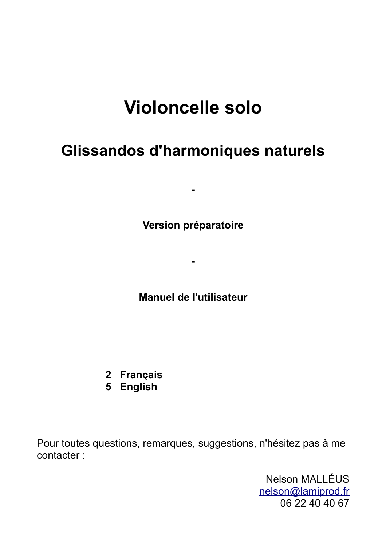# **Violoncelle solo**

## **Glissandos d'harmoniques naturels**

**Version préparatoire**

**-**

**-**

**Manuel de l'utilisateur**

- **2 Français**
- **5 English**

Pour toutes questions, remarques, suggestions, n'hésitez pas à me contacter :

> Nelson MALLÉUS [nelson@lamiprod.fr](mailto:nelson@lamiprod.fr) 06 22 40 40 67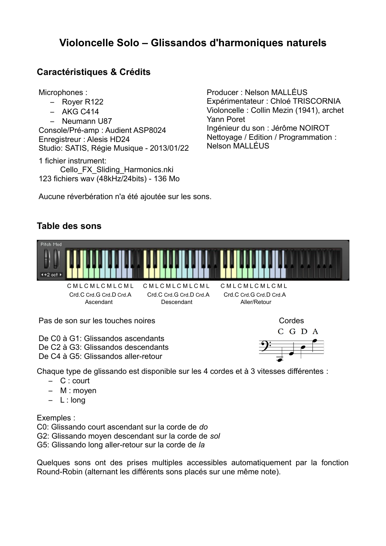### **Violoncelle Solo – Glissandos d'harmoniques naturels**

### **Caractéristiques & Crédits**

Microphones :

- Royer R122
- $-$  AKG C414

– Neumann U87 Console/Pré-amp : Audient ASP8024 Enregistreur : Alesis HD24 Studio: SATIS, Régie Musique - 2013/01/22

1 fichier instrument: Cello\_FX\_Sliding\_Harmonics.nki 123 fichiers wav (48kHz/24bits) - 136 Mo Producer : Nelson MALLÉUS Expérimentateur : Chloé TRISCORNIA Violoncelle : Collin Mezin (1941), archet Yann Poret Ingénieur du son : Jérôme NOIROT Nettoyage / Edition / Programmation : Nelson MALLÉUS

Aucune réverbération n'a été ajoutée sur les sons.

#### **Table des sons**



Pas de son sur les touches noires

De C0 à G1: Glissandos ascendants De C2 à G3: Glissandos descendants De C4 à G5: Glissandos aller-retour

Cordes



Chaque type de glissando est disponible sur les 4 cordes et à 3 vitesses différentes :

- C : court
- M : moyen
- L : long

Exemples :

C0: Glissando court ascendant sur la corde de *do*

G2: Glissando moyen descendant sur la corde de *sol*

G5: Glissando long aller-retour sur la corde de *la*

Quelques sons ont des prises multiples accessibles automatiquement par la fonction Round-Robin (alternant les différents sons placés sur une même note).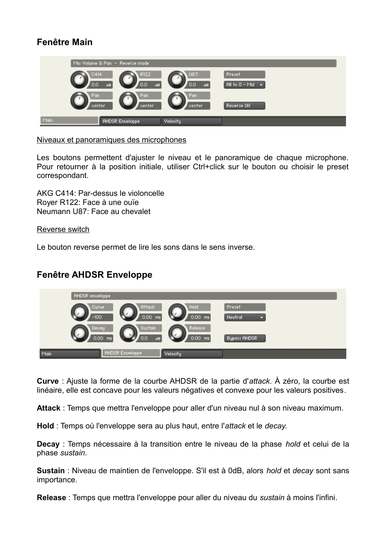### **Fenêtre Main**

| Mic Volume & Pan – Reverse mode |                                                                       |                               |
|---------------------------------|-----------------------------------------------------------------------|-------------------------------|
| C414<br>0.0<br>$\overline{AB}$  | R122<br>U87<br>0.0<br>0.0<br>$\mathsf{d}\mathsf{B}$<br>$\overline{d}$ | Preset<br>All to 0 - Mid<br>ы |
| Pan<br>center                   | Pan<br>Pan<br>center.<br>center                                       | Reverse Off                   |
| Main<br><b>AHDSR Enveloppe</b>  | Velocity                                                              |                               |

#### Niveaux et panoramiques des microphones

Les boutons permettent d'ajuster le niveau et le panoramique de chaque microphone. Pour retourner à la position initiale, utiliser Ctrl+click sur le bouton ou choisir le preset correspondant.

AKG C414: Par-dessus le violoncelle Royer R122: Face à une ouïe Neumann U87: Face au chevalet

Reverse switch

Le bouton reverse permet de lire les sons dans le sens inverse.

#### **Fenêtre AHDSR Enveloppe**

| <b>AHDSR</b> enveloppe |                                                  |                      |                        |
|------------------------|--------------------------------------------------|----------------------|------------------------|
| Curve<br>$-100$        | Attack<br>$0.00$ ms                              | Hold<br>$0.00$ ms    | Preset<br>Neutral<br>۰ |
| Decay                  | Sustain<br>0.00.<br>0.0<br>ms<br>$\overline{AB}$ | Release<br>$0.00$ ms | Bypass AHDSR           |
| Main                   | <b>AHDSR Enveloppe</b>                           | Velocity             |                        |

**Curve** : Ajuste la forme de la courbe AHDSR de la partie d'*attack*. À zéro, la courbe est linéaire, elle est concave pour les valeurs négatives et convexe pour les valeurs positives.

**Attack** : Temps que mettra l'enveloppe pour aller d'un niveau nul à son niveau maximum.

**Hold** : Temps où l'enveloppe sera au plus haut, entre l'*attack* et le *decay*.

**Decay** : Temps nécessaire à la transition entre le niveau de la phase *hold* et celui de la phase *sustain*.

**Sustain** : Niveau de maintien de l'enveloppe. S'il est à 0dB, alors *hold* et *decay* sont sans importance.

**Release** : Temps que mettra l'enveloppe pour aller du niveau du *sustain* à moins l'infini.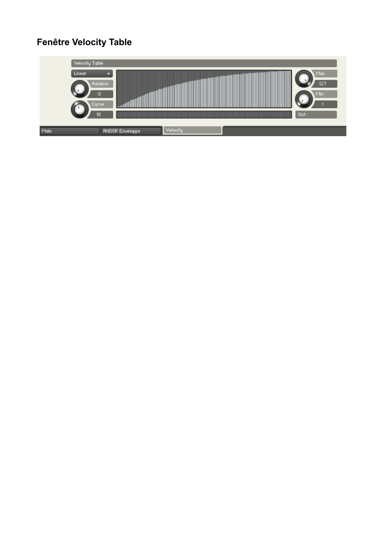### **Fenêtre Velocity Table**

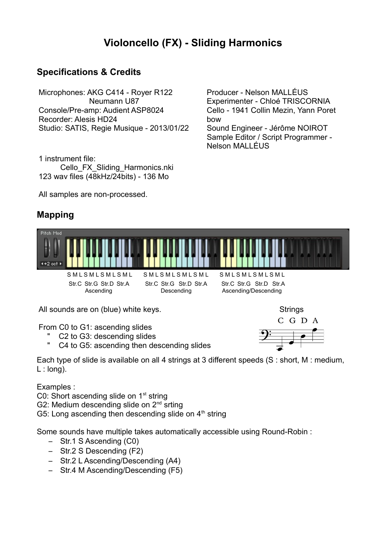### **Violoncello (FX) - Sliding Harmonics**

bow

Nelson MALLÉUS

### **Specifications & Credits**

Microphones: AKG C414 - Royer R122 Neumann U87 Console/Pre-amp: Audient ASP8024 Recorder: Alesis HD24 Studio: SATIS, Regie Musique - 2013/01/22

1 instrument file: Cello\_FX\_Sliding\_Harmonics.nki 123 wav files (48kHz/24bits) - 136 Mo

All samples are non-processed.

### **Mapping**



 Str.C Str.G Str.D Str.A Str.C Str.G Str.D Str.A Str.C Str.G Str.D Str.A Ascending Descending Descending Ascending/Descending

Producer - Nelson MALLÉUS

Experimenter - Chloé TRISCORNIA Cello - 1941 Collin Mezin, Yann Poret

Sound Engineer - Jérôme NOIROT Sample Editor / Script Programmer -

All sounds are on (blue) white keys.

From C0 to G1: ascending slides

- " C2 to G3: descending slides
- " C4 to G5: ascending then descending slides

Each type of slide is available on all 4 strings at 3 different speeds (S : short, M : medium, L : long).

Examples :

C0: Short ascending slide on  $1<sup>st</sup>$  string

G2: Medium descending slide on 2<sup>nd</sup> srting

G5: Long ascending then descending slide on  $4<sup>th</sup>$  string

Some sounds have multiple takes automatically accessible using Round-Robin :

- Str.1 S Ascending (C0)
- Str.2 S Descending (F2)
- Str.2 L Ascending/Descending (A4)
- Str.4 M Ascending/Descending (F5)

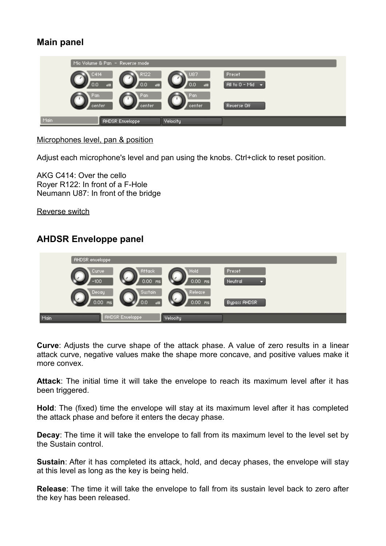### **Main panel**

|               | Mic Volume & Pan - Reverse mode                           |                                       |                                |  |
|---------------|-----------------------------------------------------------|---------------------------------------|--------------------------------|--|
| C414<br>0.0   | R122<br>0.0<br>$\mathbf{d} \mathbf{B}$<br>$\overline{AB}$ | U87<br>0.0<br>$\mathbf{d} \mathbf{B}$ | Preset<br>All to 0 - Mid<br>н. |  |
| Pan<br>center | Pan<br>center                                             | Pan<br>center.                        | Reverse Off                    |  |
| Main          | <b>AHDSR Enveloppe</b>                                    | Velocity                              |                                |  |

Microphones level, pan & position

Adjust each microphone's level and pan using the knobs. Ctrl+click to reset position.

AKG C414: Over the cello Royer R122: In front of a F-Hole Neumann U87: In front of the bridge

Reverse switch

### **AHDSR Enveloppe panel**

|      | <b>AHDSR</b> enveloppe |                        |                      |                        |
|------|------------------------|------------------------|----------------------|------------------------|
|      | Curve<br>$-100$        | Attack<br>$0.00$ ms    | Hold<br>$0.00$ ms    | Preset<br>Neutral<br>o |
|      | Decay<br>$0.00$ ms     | Sustain<br>0.0<br>dB   | Release<br>$0.00$ ms | Bypass AHDSR           |
| Main |                        | <b>AHDSR Enveloppe</b> | Velocity             |                        |

**Curve**: Adjusts the curve shape of the attack phase. A value of zero results in a linear attack curve, negative values make the shape more concave, and positive values make it more convex.

**Attack**: The initial time it will take the envelope to reach its maximum level after it has been triggered.

**Hold**: The (fixed) time the envelope will stay at its maximum level after it has completed the attack phase and before it enters the decay phase.

**Decay**: The time it will take the envelope to fall from its maximum level to the level set by the Sustain control.

**Sustain:** After it has completed its attack, hold, and decay phases, the envelope will stay at this level as long as the key is being held.

**Release**: The time it will take the envelope to fall from its sustain level back to zero after the key has been released.